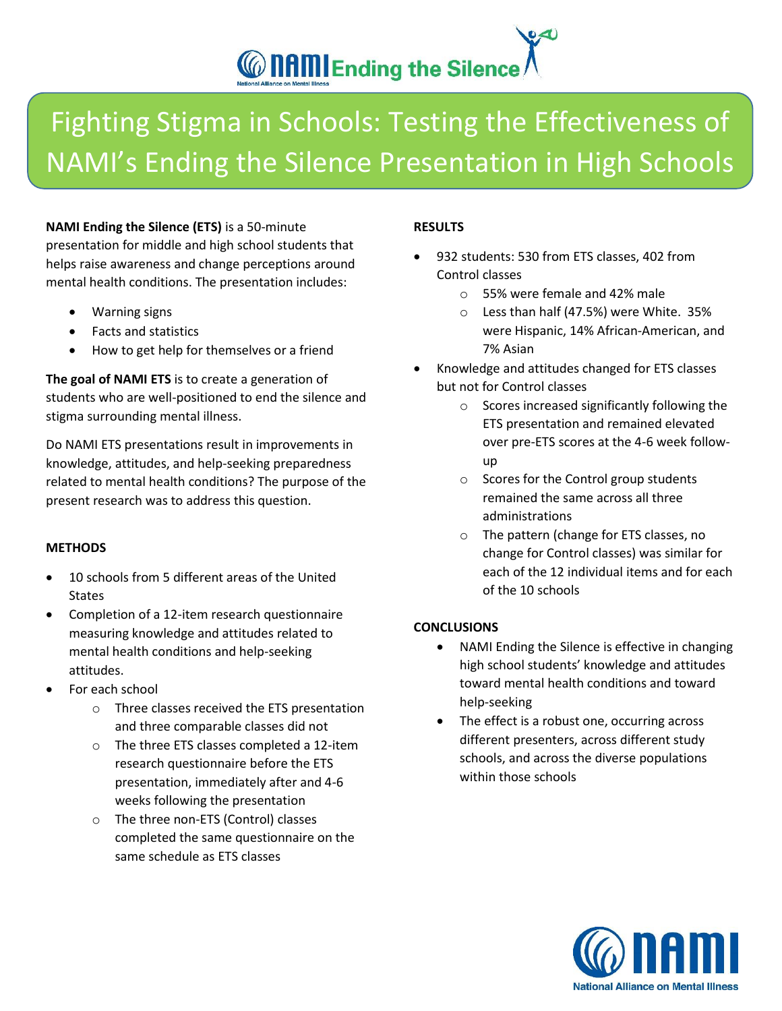# **CONSTRAINED IN Ending the Silence**

## Fighting Stigma in Schools: Testing the Effectiveness of NAMI's Ending the Silence Presentation in High Schools

**NAMI Ending the Silence (ETS)** is a 50-minute presentation for middle and high school students that helps raise awareness and change perceptions around mental health conditions. The presentation includes:

- Warning signs
- Facts and statistics
- How to get help for themselves or a friend

**The goal of NAMI ETS** is to create a generation of students who are well-positioned to end the silence and stigma surrounding mental illness.

Do NAMI ETS presentations result in improvements in knowledge, attitudes, and help-seeking preparedness related to mental health conditions? The purpose of the present research was to address this question.

### **METHODS**

- 10 schools from 5 different areas of the United **States**
- Completion of a 12-item research questionnaire measuring knowledge and attitudes related to mental health conditions and help-seeking attitudes.
- For each school
	- o Three classes received the ETS presentation and three comparable classes did not
	- o The three ETS classes completed a 12-item research questionnaire before the ETS presentation, immediately after and 4-6 weeks following the presentation
	- o The three non-ETS (Control) classes completed the same questionnaire on the same schedule as ETS classes

### **RESULTS**

- 932 students: 530 from ETS classes, 402 from Control classes
	- o 55% were female and 42% male
	- o Less than half (47.5%) were White. 35% were Hispanic, 14% African-American, and 7% Asian
- Knowledge and attitudes changed for ETS classes but not for Control classes
	- o Scores increased significantly following the ETS presentation and remained elevated over pre-ETS scores at the 4-6 week followup
	- o Scores for the Control group students remained the same across all three administrations
	- o The pattern (change for ETS classes, no change for Control classes) was similar for each of the 12 individual items and for each of the 10 schools

### **CONCLUSIONS**

- NAMI Ending the Silence is effective in changing high school students' knowledge and attitudes toward mental health conditions and toward help-seeking
- The effect is a robust one, occurring across different presenters, across different study schools, and across the diverse populations within those schools